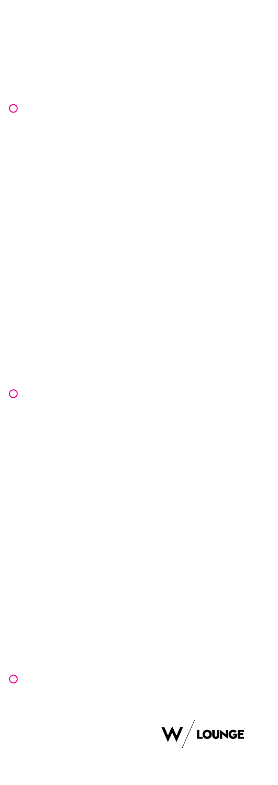

 $\overline{O}$ 

 $\overline{O}$ 

 $\overline{O}$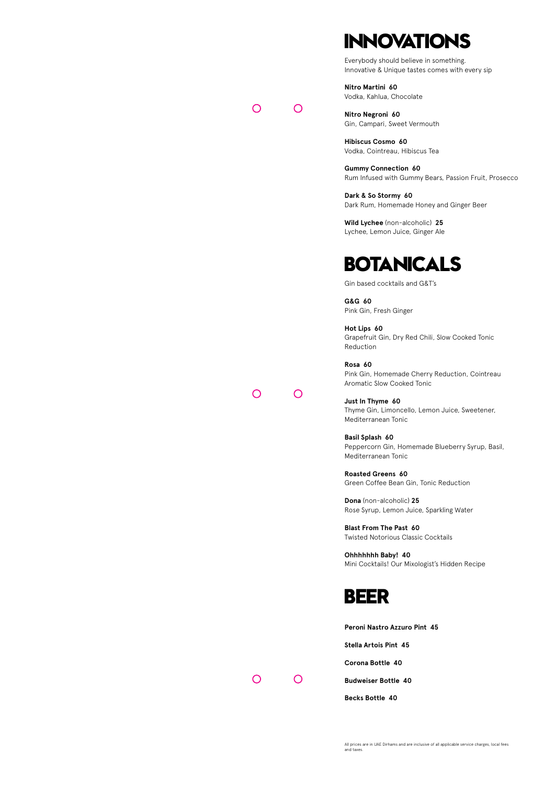## **INNOVATIONS**

Everybody should believe in something. Innovative & Unique tastes comes with every sip

**Nitro Martini 60** Vodka, Kahlua, Chocolate

**Nitro Negroni 60** Gin, Campari, Sweet Vermouth

**Hibiscus Cosmo 60** Vodka, Cointreau, Hibiscus Tea

**Gummy Connection 60** Rum Infused with Gummy Bears, Passion Fruit, Prosecco

**Dark & So Stormy 60** Dark Rum, Homemade Honey and Ginger Beer

**Wild Lychee** (non-alcoholic) **25** Lychee, Lemon Juice, Ginger Ale

## **BOTANICALS**

Gin based cocktails and G&T's

**G&G 60** Pink Gin, Fresh Ginger

**Hot Lips 60** Grapefruit Gin, Dry Red Chili, Slow Cooked Tonic Reduction

**Rosa 60** Pink Gin, Homemade Cherry Reduction, Cointreau Aromatic Slow Cooked Tonic

**Just In Thyme 60** Thyme Gin, Limoncello, Lemon Juice, Sweetener, Mediterranean Tonic

**Basil Splash 60** Peppercorn Gin, Homemade Blueberry Syrup, Basil, Mediterranean Tonic

**Roasted Greens 60** Green Coffee Bean Gin, Tonic Reduction

**Dona** (non-alcoholic) **25** Rose Syrup, Lemon Juice, Sparkling Water

**Blast From The Past 60** Twisted Notorious Classic Cocktails

**Ohhhhhhh Baby! 40** Mini Cocktails! Our Mixologist's Hidden Recipe



**Peroni Nastro Azzuro Pint 45**

**Stella Artois Pint 45**

**Corona Bottle 40**

**Budweiser Bottle 40**

**Becks Bottle 40**

 $\overline{O}$ 

 $\Omega$ 

 $\overline{O}$ 

 $\overline{O}$ 

 $\overline{O}$ 

 $\Omega$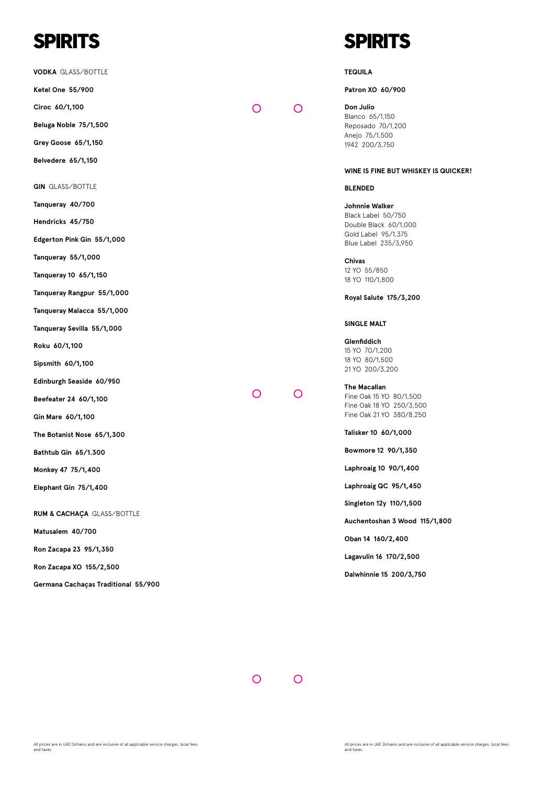# **SPIRITS**

**VODKA** GLASS/BOTTLE

**Ketel One 55/900**

**Ciroc 60/1,100**

**Beluga Noble 75/1,500**

**Grey Goose 65/1,150**

**Belvedere 65/1,150**

**GIN** GLASS/BOTTLE

**Tanqueray 40/700**

**Hendricks 45/750**

**Edgerton Pink Gin 55/1,000**

**Tanqueray 55/1,000** 

**Tanqueray 10 65/1,150**

**Tanqueray Rangpur 55/1,000**

**Tanqueray Malacca 55/1,000**

**Tanqueray Sevilla 55/1,000**

**Roku 60/1,100**

**Sipsmith 60/1,100**

**Edinburgh Seaside 60/950**

**Beefeater 24 60/1,100**

**Gin Mare 60/1,100**

**The Botanist Nose 65/1,300**

**Bathtub Gin 65/1.300**

**Monkey 47 75/1,400**

**Elephant Gin 75/1,400**

**RUM & CACHAÇA** GLASS/BOTTLE

**Matusalem 40/700** 

**Ron Zacapa 23 95/1,350**

**Ron Zacapa XO 155/2,500**

**Germana Cachaças Traditional 55/900**

## **SPIRITS**

#### **TEQUILA**

 $\Omega$ 

 $\Omega$ 

 $\overline{O}$ 

 $\Omega$ 

**Patron XO 60/900**

**Don Julio**  Blanco 65/1,150 Reposado 70/1,200 Anejo 75/1,500 1942 200/3,750

#### **WINE IS FINE BUT WHISKEY IS QUICKER!**

#### **BLENDED**

**Johnnie Walker**  Black Label 50/750 Double Black 60/1,000 Gold Label 95/1,375 Blue Label 235/3,950

**Chivas**  12 YO 55/850 18 YO 110/1,800

**Royal Salute 175/3,200**

#### **SINGLE MALT**

**Glenfiddich**  15 YO 70/1,200 18 YO 80/1,500 21 YO 200/3,200

**The Macallan**  Fine Oak 15 YO 80/1,500 Fine Oak 18 YO 250/3,500 Fine Oak 21 YO 380/8,250

**Talisker 10 60/1,000**

**Bowmore 12 90/1,350**

**Laphroaig 10 90/1,400**

**Laphroaig QC 95/1,450**

**Singleton 12y 110/1,500**

**Auchentoshan 3 Wood 115/1,800**

**Oban 14 160/2,400**

**Lagavulin 16 170/2,500**

**Dalwhinnie 15 200/3,750**

 $\overline{O}$  $\overline{O}$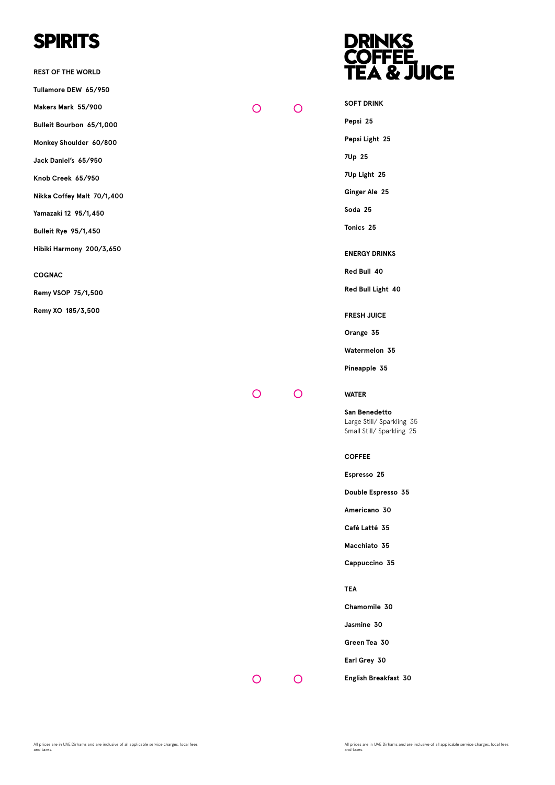## **SPIRITS**

**REST OF THE WORLD** 

**Tullamore DEW 65/950**

**Makers Mark 55/900**

**Bulleit Bourbon 65/1,000**

**Monkey Shoulder 60/800**

**Jack Daniel's 65/950**

**Knob Creek 65/950**

**Nikka Coffey Malt 70/1,400**

**Yamazaki 12 95/1,450**

**Bulleit Rye 95/1,450**

**Hibiki Harmony 200/3,650**

#### **COGNAC**

**Remy VSOP 75/1,500**

**Remy XO 185/3,500**

### **DRINKS COFFEE, TEA & JUICE**

**SOFT DRINK** 

**Pepsi 25**

**Pepsi Light 25**

**7Up 25**

**7Up Light 25**

**Ginger Ale 25**

**Soda 25**

**Tonics 25**

**ENERGY DRINKS**

**Red Bull 40**

**Red Bull Light 40**

**FRESH JUICE**

**Orange 35**

**Watermelon 35**

**Pineapple 35**

 $\overline{O}$ 

 $\overline{O}$ 

 $\Omega$ 

 $\Omega$ 

#### **WATER**

**San Benedetto** Large Still/ Sparkling 35 Small Still/ Sparkling 25

#### **COFFEE**

**Espresso 25**

**Double Espresso 35**

**Americano 30**

**Café Latté 35**

**Macchiato 35**

**Cappuccino 35**

**TEA**

**Chamomile 30**

**Jasmine 30**

**Green Tea 30**

**Earl Grey 30**

 $\overline{O}$ 

 $\circ$ 

**English Breakfast 30**

All prices are in UAE Dirhams and are inclusive of all applicable service charges, local fees and taxes.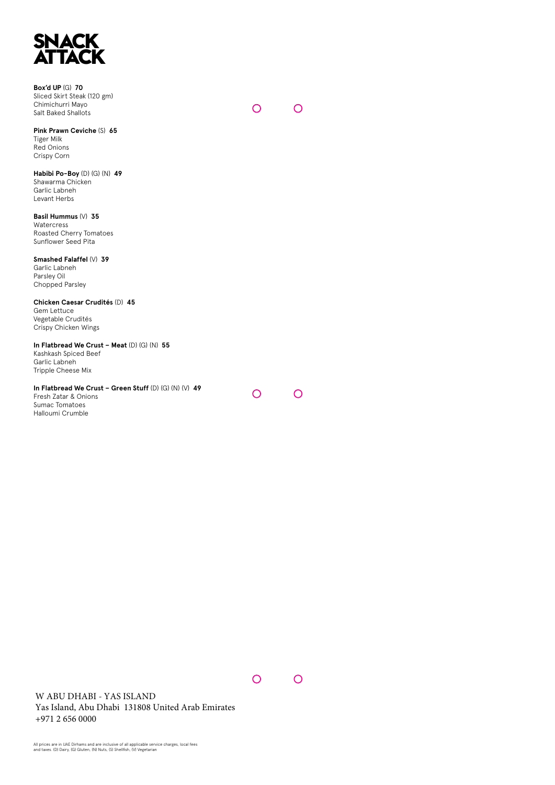

**Box'd UP** (G) **70** Sliced Skirt Steak (120 gm) Chimichurri Mayo Salt Baked Shallots

 $\Omega$  $\Omega$ 

**Pink Prawn Ceviche** (S) **65** Tiger Milk Red Onions Crispy Corn

**Habibi Po-Boy** (D) (G) (N) **49** Shawarma Chicken Garlic Labneh Levant Herbs

**Basil Hummus** (V) **35**  Watercress Roasted Cherry Tomatoes Sunflower Seed Pita

**Smashed Falaffel** (V) **39** Garlic Labneh Parsley Oil Chopped Parsley

**Chicken Caesar Crudités** (D) **45** Gem Lettuce Vegetable Crudités Crispy Chicken Wings

**In Flatbread We Crust – Meat** (D) (G) (N) **55** Kashkash Spiced Beef Garlic Labneh

Tripple Cheese Mix

**In Flatbread We Crust – Green Stuff** (D) (G) (N) (V) **49** Fresh Zatar & Onions Sumac Tomatoes Halloumi Crumble

 $\overline{O}$ 

 $\overline{O}$ 

 $\overline{O}$ 

 $\overline{O}$ 

W ABU DHABI - YAS ISLAND Yas Island, Abu Dhabi 131808 United Arab Emirates +971 2 656 0000

All prices are in UAE Dirhams and are inclusive of all applicable service charges, local fees and taxes. (D) Dairy, (G) Gluten, (N) Nuts, (S) Shellfish, (V) Vegetarian